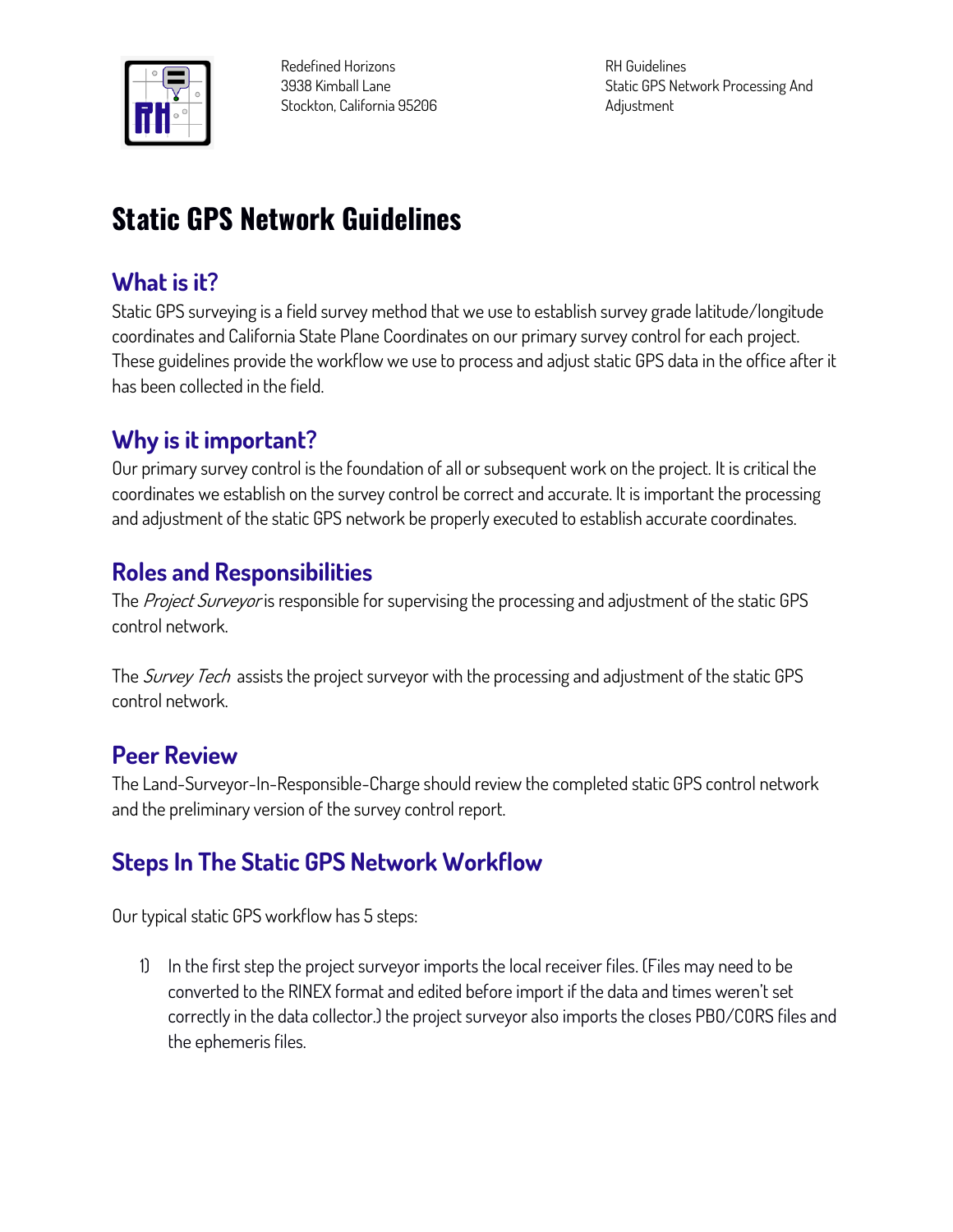

**Redefined Horizons 3938 Kimball Lane Stockton, California 95206** **RH Guidelines Static GPS Network Processing And Adjustment**

# **Static GPS Network Guidelines**

## **What is it?**

**Static GPS surveying is a field survey method that we use to establish survey grade latitude/longitude coordinates and California State Plane Coordinates on our primary survey control for each project. These guidelines provide the workflow we use to process and adjust static GPS data in the office after it has been collected in the field.**

## **Why is it important?**

**Our primary survey control is the foundation of all or subsequent work on the project. It is critical the coordinates we establish on the survey control be correct and accurate. It is important the processing and adjustment of the static GPS network be properly executed to establish accurate coordinates.**

## **Roles and Responsibilities**

**The Project Surveyor is responsible for supervising the processing and adjustment of the static GPS control network.**

**The Survey Tech assists the project surveyor with the processing and adjustment of the static GPS control network.**

## **Peer Review**

**The Land-Surveyor-In-Responsible-Charge should review the completed static GPS control network and the preliminary version of the survey control report.**

## **Steps In The Static GPS Network Workflow**

**Our typical static GPS workflow has 5 steps:**

**1) In the first step the project surveyor imports the local receiver files. (Files may need to be converted to the RINEX format and edited before import if the data and times weren't set correctly in the data collector.) the project surveyor also imports the closes PBO/CORS files and the ephemeris files.**